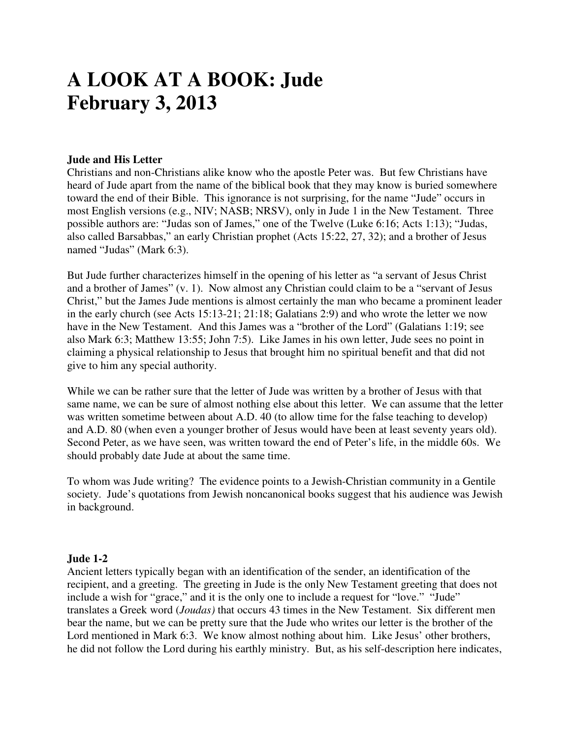# **A LOOK AT A BOOK: Jude February 3, 2013**

#### **Jude and His Letter**

Christians and non-Christians alike know who the apostle Peter was. But few Christians have heard of Jude apart from the name of the biblical book that they may know is buried somewhere toward the end of their Bible. This ignorance is not surprising, for the name "Jude" occurs in most English versions (e.g., NIV; NASB; NRSV), only in Jude 1 in the New Testament. Three possible authors are: "Judas son of James," one of the Twelve (Luke 6:16; Acts 1:13); "Judas, also called Barsabbas," an early Christian prophet (Acts 15:22, 27, 32); and a brother of Jesus named "Judas" (Mark 6:3).

But Jude further characterizes himself in the opening of his letter as "a servant of Jesus Christ and a brother of James" (v. 1). Now almost any Christian could claim to be a "servant of Jesus Christ," but the James Jude mentions is almost certainly the man who became a prominent leader in the early church (see Acts 15:13-21; 21:18; Galatians 2:9) and who wrote the letter we now have in the New Testament. And this James was a "brother of the Lord" (Galatians 1:19; see also Mark 6:3; Matthew 13:55; John 7:5). Like James in his own letter, Jude sees no point in claiming a physical relationship to Jesus that brought him no spiritual benefit and that did not give to him any special authority.

While we can be rather sure that the letter of Jude was written by a brother of Jesus with that same name, we can be sure of almost nothing else about this letter. We can assume that the letter was written sometime between about A.D. 40 (to allow time for the false teaching to develop) and A.D. 80 (when even a younger brother of Jesus would have been at least seventy years old). Second Peter, as we have seen, was written toward the end of Peter's life, in the middle 60s. We should probably date Jude at about the same time.

To whom was Jude writing? The evidence points to a Jewish-Christian community in a Gentile society. Jude's quotations from Jewish noncanonical books suggest that his audience was Jewish in background.

#### **Jude 1-2**

Ancient letters typically began with an identification of the sender, an identification of the recipient, and a greeting. The greeting in Jude is the only New Testament greeting that does not include a wish for "grace," and it is the only one to include a request for "love." "Jude" translates a Greek word (*Joudas)* that occurs 43 times in the New Testament. Six different men bear the name, but we can be pretty sure that the Jude who writes our letter is the brother of the Lord mentioned in Mark 6:3. We know almost nothing about him. Like Jesus' other brothers, he did not follow the Lord during his earthly ministry. But, as his self-description here indicates,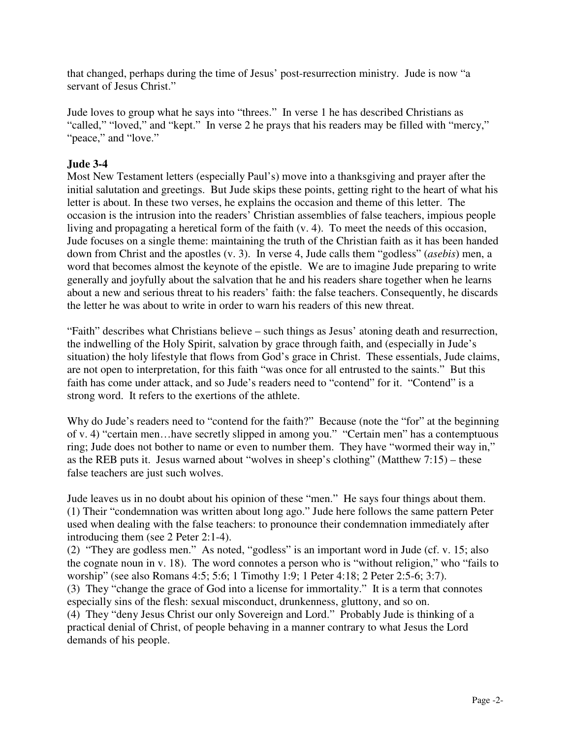that changed, perhaps during the time of Jesus' post-resurrection ministry. Jude is now "a servant of Jesus Christ."

Jude loves to group what he says into "threes." In verse 1 he has described Christians as "called," "loved," and "kept." In verse 2 he prays that his readers may be filled with "mercy," "peace," and "love."

## **Jude 3-4**

Most New Testament letters (especially Paul's) move into a thanksgiving and prayer after the initial salutation and greetings. But Jude skips these points, getting right to the heart of what his letter is about. In these two verses, he explains the occasion and theme of this letter. The occasion is the intrusion into the readers' Christian assemblies of false teachers, impious people living and propagating a heretical form of the faith (v. 4). To meet the needs of this occasion, Jude focuses on a single theme: maintaining the truth of the Christian faith as it has been handed down from Christ and the apostles (v. 3). In verse 4, Jude calls them "godless" (*asebis*) men, a word that becomes almost the keynote of the epistle. We are to imagine Jude preparing to write generally and joyfully about the salvation that he and his readers share together when he learns about a new and serious threat to his readers' faith: the false teachers. Consequently, he discards the letter he was about to write in order to warn his readers of this new threat.

"Faith" describes what Christians believe – such things as Jesus' atoning death and resurrection, the indwelling of the Holy Spirit, salvation by grace through faith, and (especially in Jude's situation) the holy lifestyle that flows from God's grace in Christ. These essentials, Jude claims, are not open to interpretation, for this faith "was once for all entrusted to the saints." But this faith has come under attack, and so Jude's readers need to "contend" for it. "Contend" is a strong word. It refers to the exertions of the athlete.

Why do Jude's readers need to "contend for the faith?" Because (note the "for" at the beginning of v. 4) "certain men…have secretly slipped in among you." "Certain men" has a contemptuous ring; Jude does not bother to name or even to number them. They have "wormed their way in," as the REB puts it. Jesus warned about "wolves in sheep's clothing" (Matthew 7:15) – these false teachers are just such wolves.

Jude leaves us in no doubt about his opinion of these "men." He says four things about them. (1) Their "condemnation was written about long ago." Jude here follows the same pattern Peter used when dealing with the false teachers: to pronounce their condemnation immediately after introducing them (see 2 Peter 2:1-4).

(2) "They are godless men." As noted, "godless" is an important word in Jude (cf. v. 15; also the cognate noun in v. 18). The word connotes a person who is "without religion," who "fails to worship" (see also Romans 4:5; 5:6; 1 Timothy 1:9; 1 Peter 4:18; 2 Peter 2:5-6; 3:7).

(3) They "change the grace of God into a license for immortality." It is a term that connotes especially sins of the flesh: sexual misconduct, drunkenness, gluttony, and so on.

(4) They "deny Jesus Christ our only Sovereign and Lord." Probably Jude is thinking of a practical denial of Christ, of people behaving in a manner contrary to what Jesus the Lord demands of his people.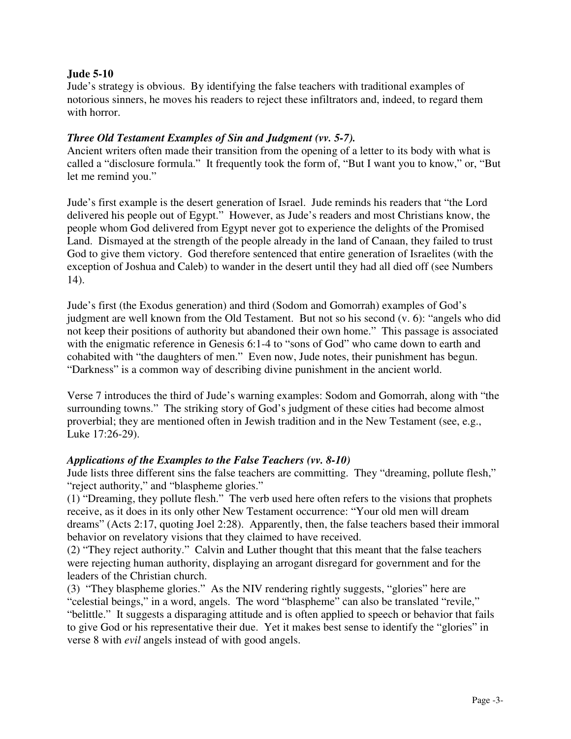#### **Jude 5-10**

Jude's strategy is obvious. By identifying the false teachers with traditional examples of notorious sinners, he moves his readers to reject these infiltrators and, indeed, to regard them with horror.

#### *Three Old Testament Examples of Sin and Judgment (vv. 5-7).*

Ancient writers often made their transition from the opening of a letter to its body with what is called a "disclosure formula." It frequently took the form of, "But I want you to know," or, "But let me remind you."

Jude's first example is the desert generation of Israel. Jude reminds his readers that "the Lord delivered his people out of Egypt." However, as Jude's readers and most Christians know, the people whom God delivered from Egypt never got to experience the delights of the Promised Land. Dismayed at the strength of the people already in the land of Canaan, they failed to trust God to give them victory. God therefore sentenced that entire generation of Israelites (with the exception of Joshua and Caleb) to wander in the desert until they had all died off (see Numbers 14).

Jude's first (the Exodus generation) and third (Sodom and Gomorrah) examples of God's judgment are well known from the Old Testament. But not so his second (v. 6): "angels who did not keep their positions of authority but abandoned their own home." This passage is associated with the enigmatic reference in Genesis 6:1-4 to "sons of God" who came down to earth and cohabited with "the daughters of men." Even now, Jude notes, their punishment has begun. "Darkness" is a common way of describing divine punishment in the ancient world.

Verse 7 introduces the third of Jude's warning examples: Sodom and Gomorrah, along with "the surrounding towns." The striking story of God's judgment of these cities had become almost proverbial; they are mentioned often in Jewish tradition and in the New Testament (see, e.g., Luke 17:26-29).

#### *Applications of the Examples to the False Teachers (vv. 8-10)*

Jude lists three different sins the false teachers are committing. They "dreaming, pollute flesh," "reject authority," and "blaspheme glories."

(1) "Dreaming, they pollute flesh." The verb used here often refers to the visions that prophets receive, as it does in its only other New Testament occurrence: "Your old men will dream dreams" (Acts 2:17, quoting Joel 2:28). Apparently, then, the false teachers based their immoral behavior on revelatory visions that they claimed to have received.

(2) "They reject authority." Calvin and Luther thought that this meant that the false teachers were rejecting human authority, displaying an arrogant disregard for government and for the leaders of the Christian church.

(3) "They blaspheme glories." As the NIV rendering rightly suggests, "glories" here are "celestial beings," in a word, angels. The word "blaspheme" can also be translated "revile," "belittle." It suggests a disparaging attitude and is often applied to speech or behavior that fails to give God or his representative their due. Yet it makes best sense to identify the "glories" in verse 8 with *evil* angels instead of with good angels.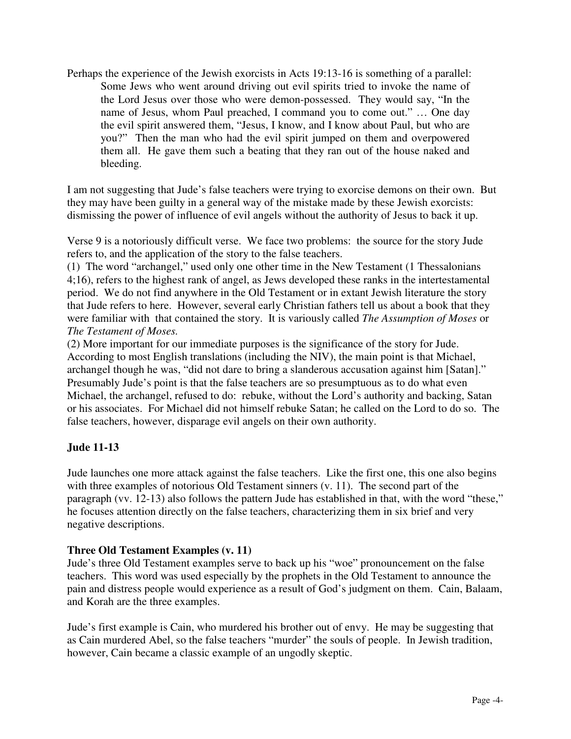Perhaps the experience of the Jewish exorcists in Acts 19:13-16 is something of a parallel: Some Jews who went around driving out evil spirits tried to invoke the name of the Lord Jesus over those who were demon-possessed. They would say, "In the name of Jesus, whom Paul preached, I command you to come out." … One day the evil spirit answered them, "Jesus, I know, and I know about Paul, but who are you?" Then the man who had the evil spirit jumped on them and overpowered them all. He gave them such a beating that they ran out of the house naked and bleeding.

I am not suggesting that Jude's false teachers were trying to exorcise demons on their own. But they may have been guilty in a general way of the mistake made by these Jewish exorcists: dismissing the power of influence of evil angels without the authority of Jesus to back it up.

Verse 9 is a notoriously difficult verse. We face two problems: the source for the story Jude refers to, and the application of the story to the false teachers.

(1) The word "archangel," used only one other time in the New Testament (1 Thessalonians 4;16), refers to the highest rank of angel, as Jews developed these ranks in the intertestamental period. We do not find anywhere in the Old Testament or in extant Jewish literature the story that Jude refers to here. However, several early Christian fathers tell us about a book that they were familiar with that contained the story. It is variously called *The Assumption of Moses* or *The Testament of Moses.* 

(2) More important for our immediate purposes is the significance of the story for Jude. According to most English translations (including the NIV), the main point is that Michael, archangel though he was, "did not dare to bring a slanderous accusation against him [Satan]." Presumably Jude's point is that the false teachers are so presumptuous as to do what even Michael, the archangel, refused to do: rebuke, without the Lord's authority and backing, Satan or his associates. For Michael did not himself rebuke Satan; he called on the Lord to do so. The false teachers, however, disparage evil angels on their own authority.

## **Jude 11-13**

Jude launches one more attack against the false teachers. Like the first one, this one also begins with three examples of notorious Old Testament sinners (v. 11). The second part of the paragraph (vv. 12-13) also follows the pattern Jude has established in that, with the word "these," he focuses attention directly on the false teachers, characterizing them in six brief and very negative descriptions.

#### **Three Old Testament Examples (v. 11)**

Jude's three Old Testament examples serve to back up his "woe" pronouncement on the false teachers. This word was used especially by the prophets in the Old Testament to announce the pain and distress people would experience as a result of God's judgment on them. Cain, Balaam, and Korah are the three examples.

Jude's first example is Cain, who murdered his brother out of envy. He may be suggesting that as Cain murdered Abel, so the false teachers "murder" the souls of people. In Jewish tradition, however, Cain became a classic example of an ungodly skeptic.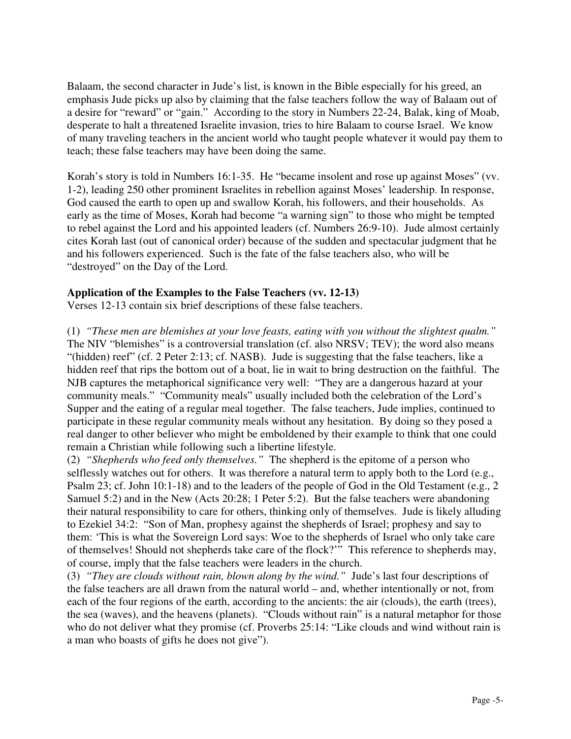Balaam, the second character in Jude's list, is known in the Bible especially for his greed, an emphasis Jude picks up also by claiming that the false teachers follow the way of Balaam out of a desire for "reward" or "gain." According to the story in Numbers 22-24, Balak, king of Moab, desperate to halt a threatened Israelite invasion, tries to hire Balaam to course Israel. We know of many traveling teachers in the ancient world who taught people whatever it would pay them to teach; these false teachers may have been doing the same.

Korah's story is told in Numbers 16:1-35. He "became insolent and rose up against Moses" (vv. 1-2), leading 250 other prominent Israelites in rebellion against Moses' leadership. In response, God caused the earth to open up and swallow Korah, his followers, and their households. As early as the time of Moses, Korah had become "a warning sign" to those who might be tempted to rebel against the Lord and his appointed leaders (cf. Numbers 26:9-10). Jude almost certainly cites Korah last (out of canonical order) because of the sudden and spectacular judgment that he and his followers experienced. Such is the fate of the false teachers also, who will be "destroyed" on the Day of the Lord.

## **Application of the Examples to the False Teachers (vv. 12-13)**

Verses 12-13 contain six brief descriptions of these false teachers.

(1) *"These men are blemishes at your love feasts, eating with you without the slightest qualm."* The NIV "blemishes" is a controversial translation (cf. also NRSV; TEV); the word also means "(hidden) reef" (cf. 2 Peter 2:13; cf. NASB). Jude is suggesting that the false teachers, like a hidden reef that rips the bottom out of a boat, lie in wait to bring destruction on the faithful. The NJB captures the metaphorical significance very well: "They are a dangerous hazard at your community meals." "Community meals" usually included both the celebration of the Lord's Supper and the eating of a regular meal together. The false teachers, Jude implies, continued to participate in these regular community meals without any hesitation. By doing so they posed a real danger to other believer who might be emboldened by their example to think that one could remain a Christian while following such a libertine lifestyle.

(2) *"Shepherds who feed only themselves."* The shepherd is the epitome of a person who selflessly watches out for others. It was therefore a natural term to apply both to the Lord (e.g., Psalm 23; cf. John 10:1-18) and to the leaders of the people of God in the Old Testament (e.g., 2 Samuel 5:2) and in the New (Acts 20:28; 1 Peter 5:2). But the false teachers were abandoning their natural responsibility to care for others, thinking only of themselves. Jude is likely alluding to Ezekiel 34:2: "Son of Man, prophesy against the shepherds of Israel; prophesy and say to them: 'This is what the Sovereign Lord says: Woe to the shepherds of Israel who only take care of themselves! Should not shepherds take care of the flock?'" This reference to shepherds may, of course, imply that the false teachers were leaders in the church.

(3) *"They are clouds without rain, blown along by the wind."* Jude's last four descriptions of the false teachers are all drawn from the natural world – and, whether intentionally or not, from each of the four regions of the earth, according to the ancients: the air (clouds), the earth (trees), the sea (waves), and the heavens (planets). "Clouds without rain" is a natural metaphor for those who do not deliver what they promise (cf. Proverbs 25:14: "Like clouds and wind without rain is a man who boasts of gifts he does not give").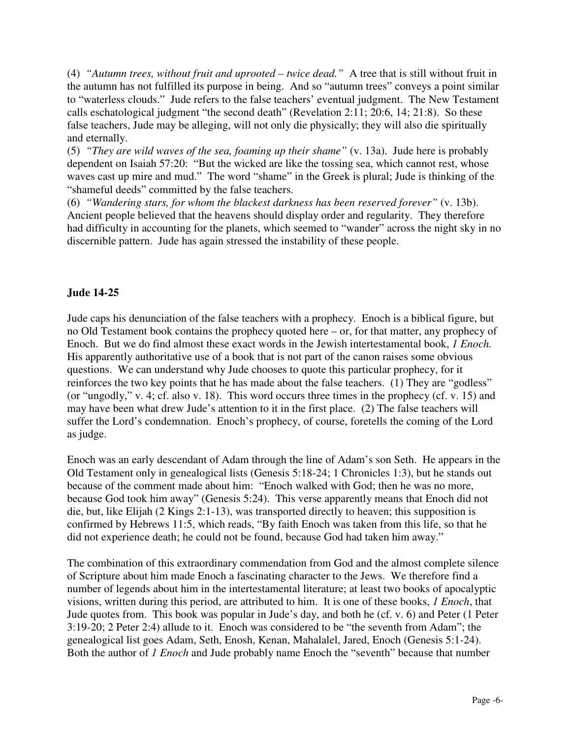(4) *"Autumn trees, without fruit and uprooted – twice dead."* A tree that is still without fruit in the autumn has not fulfilled its purpose in being. And so "autumn trees" conveys a point similar to "waterless clouds." Jude refers to the false teachers' eventual judgment. The New Testament calls eschatological judgment "the second death" (Revelation 2:11; 20:6, 14; 21:8). So these false teachers, Jude may be alleging, will not only die physically; they will also die spiritually and eternally.

(5) *"They are wild waves of the sea, foaming up their shame"* (v. 13a). Jude here is probably dependent on Isaiah 57:20: "But the wicked are like the tossing sea, which cannot rest, whose waves cast up mire and mud." The word "shame" in the Greek is plural; Jude is thinking of the "shameful deeds" committed by the false teachers.

(6) *"Wandering stars, for whom the blackest darkness has been reserved forever"* (v. 13b). Ancient people believed that the heavens should display order and regularity. They therefore had difficulty in accounting for the planets, which seemed to "wander" across the night sky in no discernible pattern. Jude has again stressed the instability of these people.

## **Jude 14-25**

Jude caps his denunciation of the false teachers with a prophecy. Enoch is a biblical figure, but no Old Testament book contains the prophecy quoted here – or, for that matter, any prophecy of Enoch. But we do find almost these exact words in the Jewish intertestamental book, *1 Enoch.* His apparently authoritative use of a book that is not part of the canon raises some obvious questions. We can understand why Jude chooses to quote this particular prophecy, for it reinforces the two key points that he has made about the false teachers. (1) They are "godless" (or "ungodly," v. 4; cf. also v. 18). This word occurs three times in the prophecy (cf. v. 15) and may have been what drew Jude's attention to it in the first place. (2) The false teachers will suffer the Lord's condemnation. Enoch's prophecy, of course, foretells the coming of the Lord as judge.

Enoch was an early descendant of Adam through the line of Adam's son Seth. He appears in the Old Testament only in genealogical lists (Genesis 5:18-24; 1 Chronicles 1:3), but he stands out because of the comment made about him: "Enoch walked with God; then he was no more, because God took him away" (Genesis 5:24). This verse apparently means that Enoch did not die, but, like Elijah (2 Kings 2:1-13), was transported directly to heaven; this supposition is confirmed by Hebrews 11:5, which reads, "By faith Enoch was taken from this life, so that he did not experience death; he could not be found, because God had taken him away."

The combination of this extraordinary commendation from God and the almost complete silence of Scripture about him made Enoch a fascinating character to the Jews. We therefore find a number of legends about him in the intertestamental literature; at least two books of apocalyptic visions, written during this period, are attributed to him. It is one of these books, *1 Enoch*, that Jude quotes from. This book was popular in Jude's day, and both he (cf. v. 6) and Peter (1 Peter 3:19-20; 2 Peter 2:4) allude to it. Enoch was considered to be "the seventh from Adam"; the genealogical list goes Adam, Seth, Enosh, Kenan, Mahalalel, Jared, Enoch (Genesis 5:1-24). Both the author of *1 Enoch* and Jude probably name Enoch the "seventh" because that number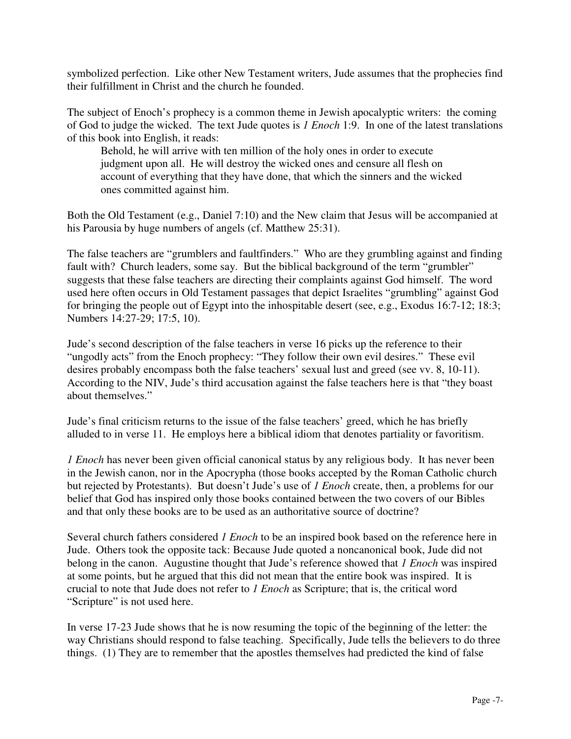symbolized perfection. Like other New Testament writers, Jude assumes that the prophecies find their fulfillment in Christ and the church he founded.

The subject of Enoch's prophecy is a common theme in Jewish apocalyptic writers: the coming of God to judge the wicked. The text Jude quotes is *1 Enoch* 1:9. In one of the latest translations of this book into English, it reads:

Behold, he will arrive with ten million of the holy ones in order to execute judgment upon all. He will destroy the wicked ones and censure all flesh on account of everything that they have done, that which the sinners and the wicked ones committed against him.

Both the Old Testament (e.g., Daniel 7:10) and the New claim that Jesus will be accompanied at his Parousia by huge numbers of angels (cf. Matthew 25:31).

The false teachers are "grumblers and faultfinders." Who are they grumbling against and finding fault with? Church leaders, some say. But the biblical background of the term "grumbler" suggests that these false teachers are directing their complaints against God himself. The word used here often occurs in Old Testament passages that depict Israelites "grumbling" against God for bringing the people out of Egypt into the inhospitable desert (see, e.g., Exodus 16:7-12; 18:3; Numbers 14:27-29; 17:5, 10).

Jude's second description of the false teachers in verse 16 picks up the reference to their "ungodly acts" from the Enoch prophecy: "They follow their own evil desires." These evil desires probably encompass both the false teachers' sexual lust and greed (see vv. 8, 10-11). According to the NIV, Jude's third accusation against the false teachers here is that "they boast about themselves."

Jude's final criticism returns to the issue of the false teachers' greed, which he has briefly alluded to in verse 11. He employs here a biblical idiom that denotes partiality or favoritism.

*1 Enoch* has never been given official canonical status by any religious body. It has never been in the Jewish canon, nor in the Apocrypha (those books accepted by the Roman Catholic church but rejected by Protestants). But doesn't Jude's use of *1 Enoch* create, then, a problems for our belief that God has inspired only those books contained between the two covers of our Bibles and that only these books are to be used as an authoritative source of doctrine?

Several church fathers considered *1 Enoch* to be an inspired book based on the reference here in Jude. Others took the opposite tack: Because Jude quoted a noncanonical book, Jude did not belong in the canon. Augustine thought that Jude's reference showed that *1 Enoch* was inspired at some points, but he argued that this did not mean that the entire book was inspired. It is crucial to note that Jude does not refer to *1 Enoch* as Scripture; that is, the critical word "Scripture" is not used here.

In verse 17-23 Jude shows that he is now resuming the topic of the beginning of the letter: the way Christians should respond to false teaching. Specifically, Jude tells the believers to do three things. (1) They are to remember that the apostles themselves had predicted the kind of false